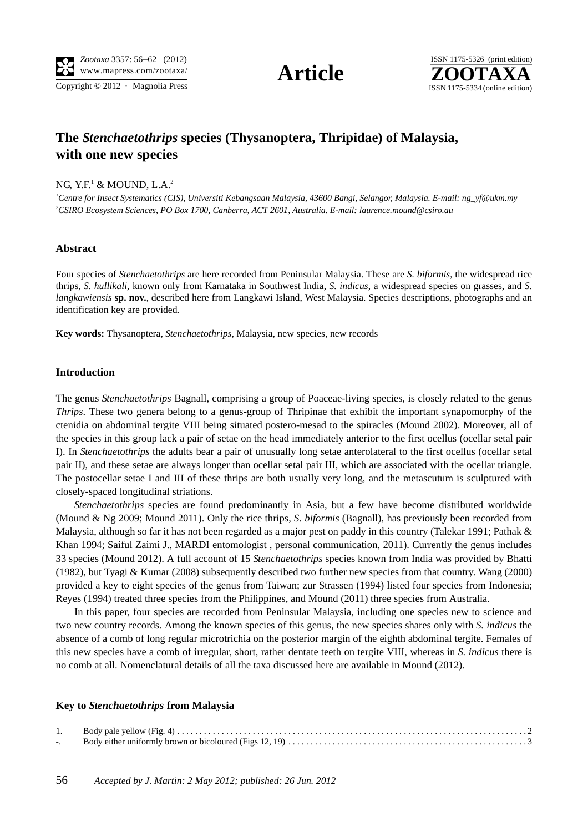

# **The** *Stenchaetothrips* **species (Thysanoptera, Thripidae) of Malaysia, with one new species**

## NG, Y.F.<sup>1</sup> & MOUND, L.A.<sup>2</sup>

*1 Centre for Insect Systematics (CIS), Universiti Kebangsaan Malaysia, 43600 Bangi, Selangor, Malaysia. E-mail: ng\_yf@ukm.my 2 CSIRO Ecosystem Sciences, PO Box 1700, Canberra, ACT 2601, Australia. E-mail: laurence.mound@csiro.au*

## **Abstract**

Four species of *Stenchaetothrips* are here recorded from Peninsular Malaysia. These are *S. biformis*, the widespread rice thrips, *S. hullikali*, known only from Karnataka in Southwest India, *S. indicus*, a widespread species on grasses, and *S. langkawiensis* **sp. nov.**, described here from Langkawi Island, West Malaysia. Species descriptions, photographs and an identification key are provided.

**Key words:** Thysanoptera, *Stenchaetothrips*, Malaysia, new species, new records

## **Introduction**

The genus *Stenchaetothrips* Bagnall, comprising a group of Poaceae-living species, is closely related to the genus *Thrips*. These two genera belong to a genus-group of Thripinae that exhibit the important synapomorphy of the ctenidia on abdominal tergite VIII being situated postero-mesad to the spiracles (Mound 2002). Moreover, all of the species in this group lack a pair of setae on the head immediately anterior to the first ocellus (ocellar setal pair I). In *Stenchaetothrips* the adults bear a pair of unusually long setae anterolateral to the first ocellus (ocellar setal pair II), and these setae are always longer than ocellar setal pair III, which are associated with the ocellar triangle. The postocellar setae I and III of these thrips are both usually very long, and the metascutum is sculptured with closely-spaced longitudinal striations.

*Stenchaetothrips* species are found predominantly in Asia, but a few have become distributed worldwide (Mound & Ng 2009; Mound 2011). Only the rice thrips, *S. biformis* (Bagnall), has previously been recorded from Malaysia, although so far it has not been regarded as a major pest on paddy in this country (Talekar 1991; Pathak & Khan 1994; Saiful Zaimi J., MARDI entomologist , personal communication, 2011). Currently the genus includes 33 species (Mound 2012). A full account of 15 *Stenchaetothrips* species known from India was provided by Bhatti (1982), but Tyagi & Kumar (2008) subsequently described two further new species from that country. Wang (2000) provided a key to eight species of the genus from Taiwan; zur Strassen (1994) listed four species from Indonesia; Reyes (1994) treated three species from the Philippines, and Mound (2011) three species from Australia.

In this paper, four species are recorded from Peninsular Malaysia, including one species new to science and two new country records. Among the known species of this genus, the new species shares only with *S. indicus* the absence of a comb of long regular microtrichia on the posterior margin of the eighth abdominal tergite. Females of this new species have a comb of irregular, short, rather dentate teeth on tergite VIII, whereas in *S. indicus* there is no comb at all. Nomenclatural details of all the taxa discussed here are available in Mound (2012).

#### **Key to** *Stenchaetothrips* **from Malaysia**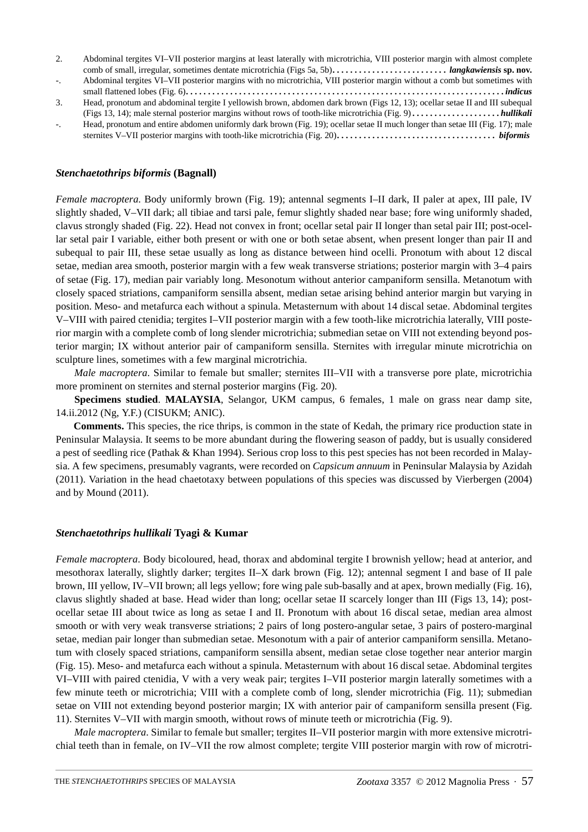| 2. | Abdominal tergites VI-VII posterior margins at least laterally with microtrichia, VIII posterior margin with almost complete                        |
|----|-----------------------------------------------------------------------------------------------------------------------------------------------------|
|    |                                                                                                                                                     |
|    | Abdominal tergites VI-VII posterior margins with no microtrichia, VIII posterior margin without a comb but sometimes with                           |
|    | small flattened lobes (Fig. 6). $\dots \dots \dots \dots \dots \dots \dots \dots \dots \dots \dots \dots \dots \dots \dots \dots \dots \dots \dots$ |
| 3. | Head, pronotum and abdominal tergite I yellowish brown, abdomen dark brown (Figs 12, 13); ocellar setae II and III subequal                         |
|    |                                                                                                                                                     |
|    | Head, pronotum and entire abdomen uniformly dark brown (Fig. 19); ocellar setae II much longer than setae III (Fig. 17); male                       |
|    |                                                                                                                                                     |

#### *Stenchaetothrips biformis* **(Bagnall)**

*Female macroptera*. Body uniformly brown (Fig. 19); antennal segments I–II dark, II paler at apex, III pale, IV slightly shaded, V–VII dark; all tibiae and tarsi pale, femur slightly shaded near base; fore wing uniformly shaded, clavus strongly shaded (Fig. 22). Head not convex in front; ocellar setal pair II longer than setal pair III; post-ocellar setal pair I variable, either both present or with one or both setae absent, when present longer than pair II and subequal to pair III, these setae usually as long as distance between hind ocelli. Pronotum with about 12 discal setae, median area smooth, posterior margin with a few weak transverse striations; posterior margin with 3–4 pairs of setae (Fig. 17), median pair variably long. Mesonotum without anterior campaniform sensilla. Metanotum with closely spaced striations, campaniform sensilla absent, median setae arising behind anterior margin but varying in position. Meso- and metafurca each without a spinula. Metasternum with about 14 discal setae. Abdominal tergites V–VIII with paired ctenidia; tergites I–VII posterior margin with a few tooth-like microtrichia laterally, VIII posterior margin with a complete comb of long slender microtrichia; submedian setae on VIII not extending beyond posterior margin; IX without anterior pair of campaniform sensilla. Sternites with irregular minute microtrichia on sculpture lines, sometimes with a few marginal microtrichia.

*Male macroptera*. Similar to female but smaller; sternites III–VII with a transverse pore plate, microtrichia more prominent on sternites and sternal posterior margins (Fig. 20).

**Specimens studied**. **MALAYSIA**, Selangor, UKM campus, 6 females, 1 male on grass near damp site, 14.ii.2012 (Ng, Y.F.) (CISUKM; ANIC).

**Comments.** This species, the rice thrips, is common in the state of Kedah, the primary rice production state in Peninsular Malaysia. It seems to be more abundant during the flowering season of paddy, but is usually considered a pest of seedling rice (Pathak & Khan 1994). Serious crop loss to this pest species has not been recorded in Malaysia. A few specimens, presumably vagrants, were recorded on *Capsicum annuum* in Peninsular Malaysia by Azidah (2011). Variation in the head chaetotaxy between populations of this species was discussed by Vierbergen (2004) and by Mound (2011).

#### *Stenchaetothrips hullikali* **Tyagi & Kumar**

*Female macroptera*. Body bicoloured, head, thorax and abdominal tergite I brownish yellow; head at anterior, and mesothorax laterally, slightly darker; tergites II–X dark brown (Fig. 12); antennal segment I and base of II pale brown, III yellow, IV–VII brown; all legs yellow; fore wing pale sub-basally and at apex, brown medially (Fig. 16), clavus slightly shaded at base. Head wider than long; ocellar setae II scarcely longer than III (Figs 13, 14); postocellar setae III about twice as long as setae I and II. Pronotum with about 16 discal setae, median area almost smooth or with very weak transverse striations; 2 pairs of long postero-angular setae, 3 pairs of postero-marginal setae, median pair longer than submedian setae. Mesonotum with a pair of anterior campaniform sensilla. Metanotum with closely spaced striations, campaniform sensilla absent, median setae close together near anterior margin (Fig. 15). Meso- and metafurca each without a spinula. Metasternum with about 16 discal setae. Abdominal tergites VI–VIII with paired ctenidia, V with a very weak pair; tergites I–VII posterior margin laterally sometimes with a few minute teeth or microtrichia; VIII with a complete comb of long, slender microtrichia (Fig. 11); submedian setae on VIII not extending beyond posterior margin; IX with anterior pair of campaniform sensilla present (Fig. 11). Sternites V–VII with margin smooth, without rows of minute teeth or microtrichia (Fig. 9).

*Male macroptera*. Similar to female but smaller; tergites II–VII posterior margin with more extensive microtrichial teeth than in female, on IV–VII the row almost complete; tergite VIII posterior margin with row of microtri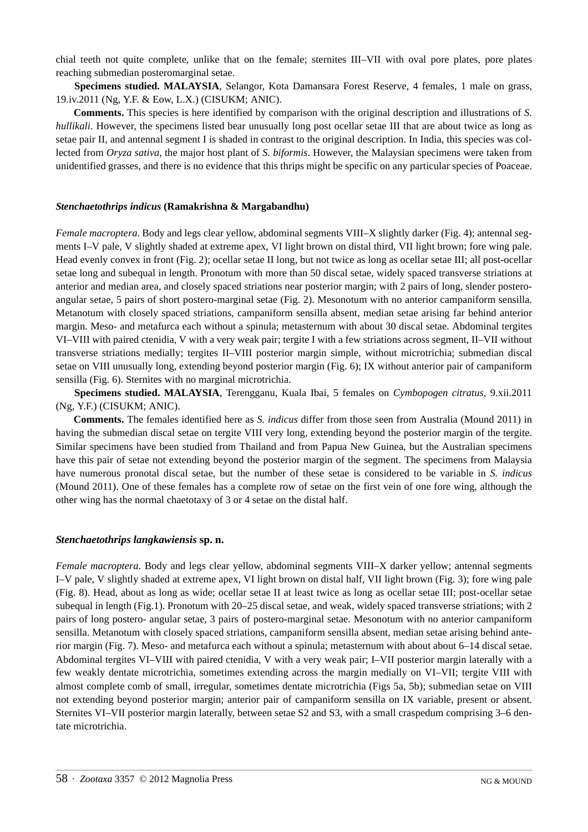chial teeth not quite complete, unlike that on the female; sternites III–VII with oval pore plates, pore plates reaching submedian posteromarginal setae.

**Specimens studied. MALAYSIA**, Selangor, Kota Damansara Forest Reserve, 4 females, 1 male on grass, 19.iv.2011 (Ng, Y.F. & Eow, L.X.) (CISUKM; ANIC).

**Comments.** This species is here identified by comparison with the original description and illustrations of *S. hullikali*. However, the specimens listed bear unusually long post ocellar setae III that are about twice as long as setae pair II, and antennal segment I is shaded in contrast to the original description. In India, this species was collected from *Oryza sativa*, the major host plant of *S. biformis*. However, the Malaysian specimens were taken from unidentified grasses, and there is no evidence that this thrips might be specific on any particular species of Poaceae.

#### *Stenchaetothrips indicus* **(Ramakrishna & Margabandhu)**

*Female macroptera*. Body and legs clear yellow, abdominal segments VIII–X slightly darker (Fig. 4); antennal segments I–V pale, V slightly shaded at extreme apex, VI light brown on distal third, VII light brown; fore wing pale. Head evenly convex in front (Fig. 2); ocellar setae II long, but not twice as long as ocellar setae III; all post-ocellar setae long and subequal in length. Pronotum with more than 50 discal setae, widely spaced transverse striations at anterior and median area, and closely spaced striations near posterior margin; with 2 pairs of long, slender posteroangular setae, 5 pairs of short postero-marginal setae (Fig. 2). Mesonotum with no anterior campaniform sensilla. Metanotum with closely spaced striations, campaniform sensilla absent, median setae arising far behind anterior margin. Meso- and metafurca each without a spinula; metasternum with about 30 discal setae. Abdominal tergites VI–VIII with paired ctenidia, V with a very weak pair; tergite I with a few striations across segment, II–VII without transverse striations medially; tergites II–VIII posterior margin simple, without microtrichia; submedian discal setae on VIII unusually long, extending beyond posterior margin (Fig. 6); IX without anterior pair of campaniform sensilla (Fig. 6). Sternites with no marginal microtrichia.

**Specimens studied. MALAYSIA**, Terengganu, Kuala Ibai, 5 females on *Cymbopogen citratus*, 9.xii.2011 (Ng, Y.F.) (CISUKM; ANIC).

**Comments.** The females identified here as *S. indicus* differ from those seen from Australia (Mound 2011) in having the submedian discal setae on tergite VIII very long, extending beyond the posterior margin of the tergite. Similar specimens have been studied from Thailand and from Papua New Guinea, but the Australian specimens have this pair of setae not extending beyond the posterior margin of the segment. The specimens from Malaysia have numerous pronotal discal setae, but the number of these setae is considered to be variable in *S. indicus* (Mound 2011). One of these females has a complete row of setae on the first vein of one fore wing, although the other wing has the normal chaetotaxy of 3 or 4 setae on the distal half.

## *Stenchaetothrips langkawiensis* **sp. n.**

*Female macroptera*. Body and legs clear yellow, abdominal segments VIII–X darker yellow; antennal segments I–V pale, V slightly shaded at extreme apex, VI light brown on distal half, VII light brown (Fig. 3); fore wing pale (Fig. 8). Head, about as long as wide; ocellar setae II at least twice as long as ocellar setae III; post-ocellar setae subequal in length (Fig.1). Pronotum with 20–25 discal setae, and weak, widely spaced transverse striations; with 2 pairs of long postero- angular setae, 3 pairs of postero-marginal setae. Mesonotum with no anterior campaniform sensilla. Metanotum with closely spaced striations, campaniform sensilla absent, median setae arising behind anterior margin (Fig. 7). Meso- and metafurca each without a spinula; metasternum with about about 6–14 discal setae. Abdominal tergites VI–VIII with paired ctenidia, V with a very weak pair; I–VII posterior margin laterally with a few weakly dentate microtrichia, sometimes extending across the margin medially on VI–VII; tergite VIII with almost complete comb of small, irregular, sometimes dentate microtrichia (Figs 5a, 5b); submedian setae on VIII not extending beyond posterior margin; anterior pair of campaniform sensilla on IX variable, present or absent. Sternites VI–VII posterior margin laterally, between setae S2 and S3, with a small craspedum comprising 3–6 dentate microtrichia.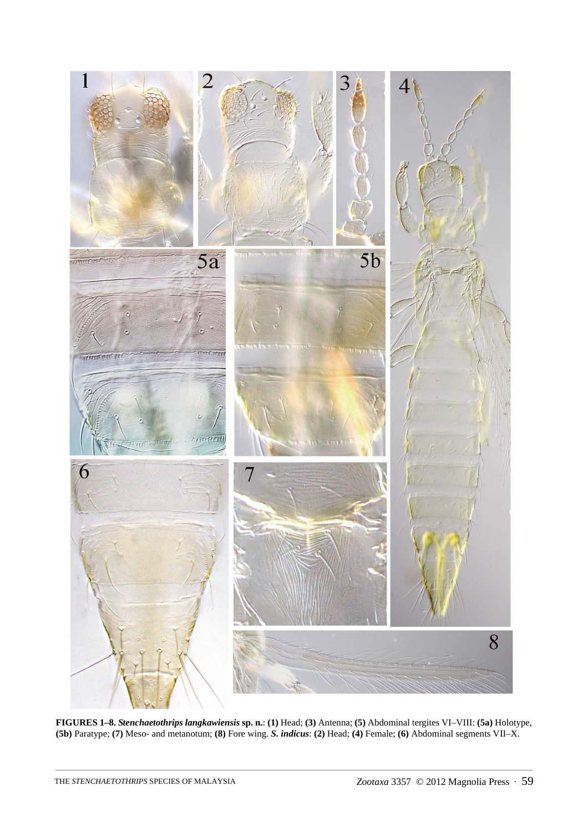

**FIGURES 1–8.** *Stenchaetothrips langkawiensis* **sp. n.**: **(1)** Head; **(3)** Antenna; **(5)** Abdominal tergites VI–VIII: **(5a)** Holotype, **(5b)** Paratype; **(7)** Meso- and metanotum; **(8)** Fore wing. *S. indicus*: **(2)** Head; **(4)** Female; **(6)** Abdominal segments VII–X.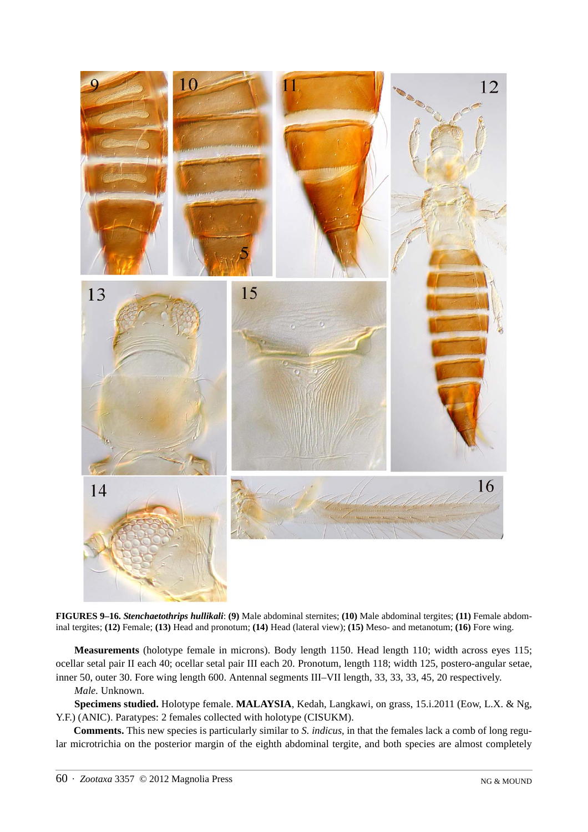

**FIGURES 9–16.** *Stenchaetothrips hullikali*: **(9)** Male abdominal sternites; **(10)** Male abdominal tergites; **(11)** Female abdominal tergites; **(12)** Female; **(13)** Head and pronotum; **(14)** Head (lateral view); **(15)** Meso- and metanotum; **(16)** Fore wing.

**Measurements** (holotype female in microns). Body length 1150. Head length 110; width across eyes 115; ocellar setal pair II each 40; ocellar setal pair III each 20. Pronotum, length 118; width 125, postero-angular setae, inner 50, outer 30. Fore wing length 600. Antennal segments III–VII length, 33, 33, 33, 45, 20 respectively.

#### *Male.* Unknown.

**Specimens studied.** Holotype female. **MALAYSIA**, Kedah, Langkawi, on grass, 15.i.2011 (Eow, L.X. & Ng, Y.F.) (ANIC). Paratypes: 2 females collected with holotype (CISUKM).

**Comments.** This new species is particularly similar to *S. indicus*, in that the females lack a comb of long regular microtrichia on the posterior margin of the eighth abdominal tergite, and both species are almost completely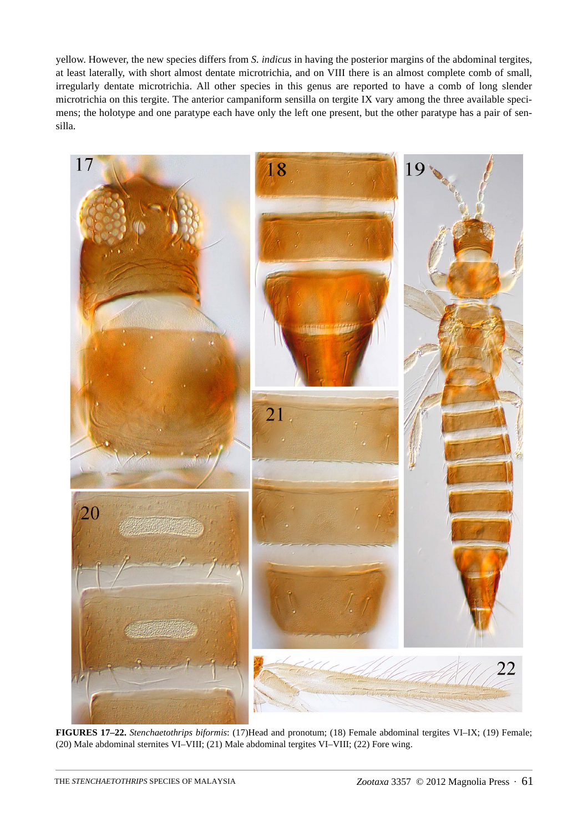yellow. However, the new species differs from *S. indicus* in having the posterior margins of the abdominal tergites, at least laterally, with short almost dentate microtrichia, and on VIII there is an almost complete comb of small, irregularly dentate microtrichia. All other species in this genus are reported to have a comb of long slender microtrichia on this tergite. The anterior campaniform sensilla on tergite IX vary among the three available specimens; the holotype and one paratype each have only the left one present, but the other paratype has a pair of sensilla.



**FIGURES 17–22.** *Stenchaetothrips biformis*: (17)Head and pronotum; (18) Female abdominal tergites VI–IX; (19) Female; (20) Male abdominal sternites VI–VIII; (21) Male abdominal tergites VI–VIII; (22) Fore wing.